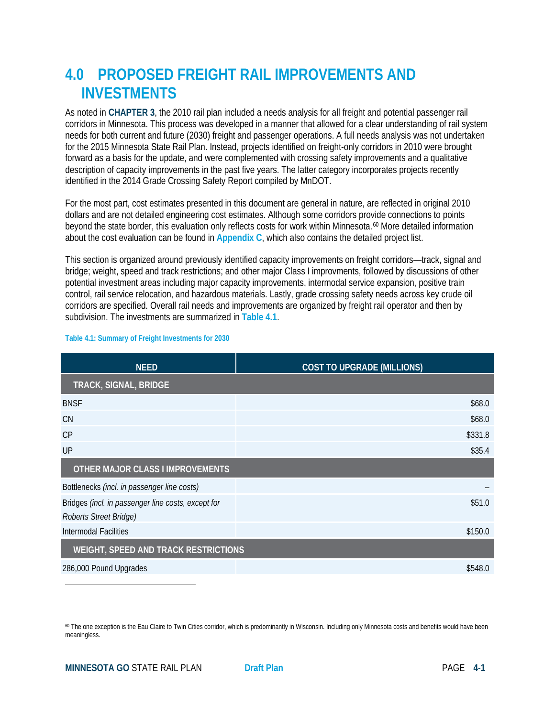# **4.0 PROPOSED FREIGHT RAIL IMPROVEMENTS AND INVESTMENTS**

As noted in **CHAPTER 3**, the 2010 rail plan included a needs analysis for all freight and potential passenger rail corridors in Minnesota. This process was developed in a manner that allowed for a clear understanding of rail system needs for both current and future (2030) freight and passenger operations. A full needs analysis was not undertaken for the 2015 Minnesota State Rail Plan. Instead, projects identified on freight-only corridors in 2010 were brought forward as a basis for the update, and were complemented with crossing safety improvements and a qualitative description of capacity improvements in the past five years. The latter category incorporates projects recently identified in the 2014 Grade Crossing Safety Report compiled by MnDOT.

For the most part, cost estimates presented in this document are general in nature, are reflected in original 2010 dollars and are not detailed engineering cost estimates. Although some corridors provide connections to points beyond the state border, this evaluation only reflects costs for work within Minnesota.[60](#page-0-0) More detailed information about the cost evaluation can be found in **Appendix C**, which also contains the detailed project list.

This section is organized around previously identified capacity improvements on freight corridors—track, signal and bridge; weight, speed and track restrictions; and other major Class I improvments, followed by discussions of other potential investment areas including major capacity improvements, intermodal service expansion, positive train control, rail service relocation, and hazardous materials. Lastly, grade crossing safety needs across key crude oil corridors are specified. Overall rail needs and improvements are organized by freight rail operator and then by subdivision. The investments are summarized in **Table 4.1**.

| <b>NEED</b>                                                                  | <b>COST TO UPGRADE (MILLIONS)</b> |  |  |  |  |
|------------------------------------------------------------------------------|-----------------------------------|--|--|--|--|
| TRACK, SIGNAL, BRIDGE                                                        |                                   |  |  |  |  |
| <b>BNSF</b>                                                                  | \$68.0                            |  |  |  |  |
| <b>CN</b>                                                                    | \$68.0                            |  |  |  |  |
| CP                                                                           | \$331.8                           |  |  |  |  |
| UP                                                                           | \$35.4                            |  |  |  |  |
| <b>OTHER MAJOR CLASS I IMPROVEMENTS</b>                                      |                                   |  |  |  |  |
| Bottlenecks (incl. in passenger line costs)                                  |                                   |  |  |  |  |
| Bridges (incl. in passenger line costs, except for<br>Roberts Street Bridge) | \$51.0                            |  |  |  |  |
| Intermodal Facilities                                                        | \$150.0                           |  |  |  |  |
| <b>WEIGHT, SPEED AND TRACK RESTRICTIONS</b>                                  |                                   |  |  |  |  |
| 286,000 Pound Upgrades                                                       | \$548.0                           |  |  |  |  |

#### **Table 4.1: Summary of Freight Investments for 2030**

l

<span id="page-0-0"></span><sup>60</sup> The one exception is the Eau Claire to Twin Cities corridor, which is predominantly in Wisconsin. Including only Minnesota costs and benefits would have been meaningless.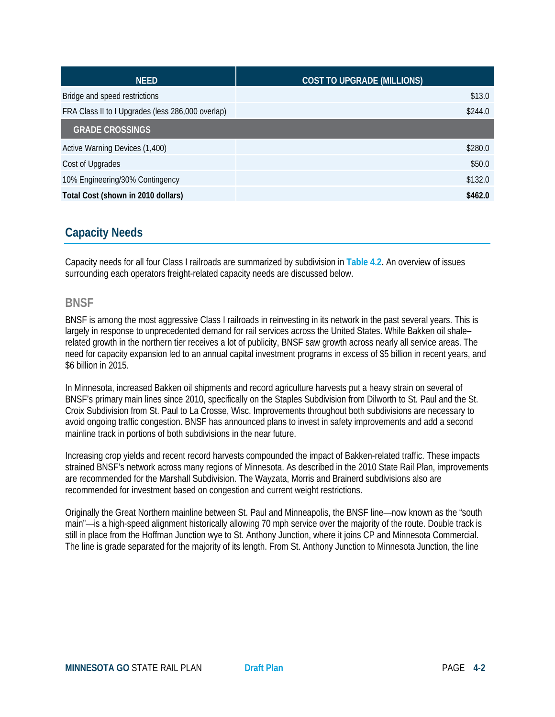| <b>NEED</b>                                       | <b>COST TO UPGRADE (MILLIONS)</b> |
|---------------------------------------------------|-----------------------------------|
| Bridge and speed restrictions                     | \$13.0                            |
| FRA Class II to I Upgrades (less 286,000 overlap) | \$244.0                           |
| <b>GRADE CROSSINGS</b>                            |                                   |
| Active Warning Devices (1,400)                    | \$280.0                           |
| Cost of Upgrades                                  | \$50.0                            |
| 10% Engineering/30% Contingency                   | \$132.0                           |
| Total Cost (shown in 2010 dollars)                | \$462.0                           |

# **Capacity Needs**

Capacity needs for all four Class I railroads are summarized by subdivision in **Table 4.2.** An overview of issues surrounding each operators freight-related capacity needs are discussed below.

### **BNSF**

BNSF is among the most aggressive Class I railroads in reinvesting in its network in the past several years. This is largely in response to unprecedented demand for rail services across the United States. While Bakken oil shale– related growth in the northern tier receives a lot of publicity, BNSF saw growth across nearly all service areas. The need for capacity expansion led to an annual capital investment programs in excess of \$5 billion in recent years, and \$6 billion in 2015.

In Minnesota, increased Bakken oil shipments and record agriculture harvests put a heavy strain on several of BNSF's primary main lines since 2010, specifically on the Staples Subdivision from Dilworth to St. Paul and the St. Croix Subdivision from St. Paul to La Crosse, Wisc. Improvements throughout both subdivisions are necessary to avoid ongoing traffic congestion. BNSF has announced plans to invest in safety improvements and add a second mainline track in portions of both subdivisions in the near future.

Increasing crop yields and recent record harvests compounded the impact of Bakken-related traffic. These impacts strained BNSF's network across many regions of Minnesota. As described in the 2010 State Rail Plan, improvements are recommended for the Marshall Subdivision. The Wayzata, Morris and Brainerd subdivisions also are recommended for investment based on congestion and current weight restrictions.

Originally the Great Northern mainline between St. Paul and Minneapolis, the BNSF line—now known as the "south main"—is a high-speed alignment historically allowing 70 mph service over the majority of the route. Double track is still in place from the Hoffman Junction wye to St. Anthony Junction, where it joins CP and Minnesota Commercial. The line is grade separated for the majority of its length. From St. Anthony Junction to Minnesota Junction, the line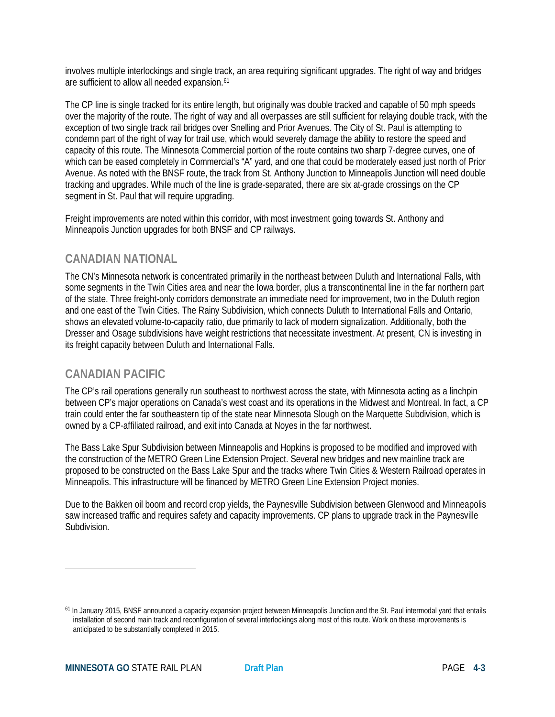involves multiple interlockings and single track, an area requiring significant upgrades. The right of way and bridges are sufficient to allow all needed expansion.<sup>[61](#page-2-0)</sup>

The CP line is single tracked for its entire length, but originally was double tracked and capable of 50 mph speeds over the majority of the route. The right of way and all overpasses are still sufficient for relaying double track, with the exception of two single track rail bridges over Snelling and Prior Avenues. The City of St. Paul is attempting to condemn part of the right of way for trail use, which would severely damage the ability to restore the speed and capacity of this route. The Minnesota Commercial portion of the route contains two sharp 7-degree curves, one of which can be eased completely in Commercial's "A" yard, and one that could be moderately eased just north of Prior Avenue. As noted with the BNSF route, the track from St. Anthony Junction to Minneapolis Junction will need double tracking and upgrades. While much of the line is grade-separated, there are six at-grade crossings on the CP segment in St. Paul that will require upgrading.

Freight improvements are noted within this corridor, with most investment going towards St. Anthony and Minneapolis Junction upgrades for both BNSF and CP railways.

### **CANADIAN NATIONAL**

The CN's Minnesota network is concentrated primarily in the northeast between Duluth and International Falls, with some segments in the Twin Cities area and near the Iowa border, plus a transcontinental line in the far northern part of the state. Three freight-only corridors demonstrate an immediate need for improvement, two in the Duluth region and one east of the Twin Cities. The Rainy Subdivision, which connects Duluth to International Falls and Ontario, shows an elevated volume-to-capacity ratio, due primarily to lack of modern signalization. Additionally, both the Dresser and Osage subdivisions have weight restrictions that necessitate investment. At present, CN is investing in its freight capacity between Duluth and International Falls.

# **CANADIAN PACIFIC**

 $\overline{\phantom{a}}$ 

The CP's rail operations generally run southeast to northwest across the state, with Minnesota acting as a linchpin between CP's major operations on Canada's west coast and its operations in the Midwest and Montreal. In fact, a CP train could enter the far southeastern tip of the state near Minnesota Slough on the Marquette Subdivision, which is owned by a CP-affiliated railroad, and exit into Canada at Noyes in the far northwest.

The Bass Lake Spur Subdivision between Minneapolis and Hopkins is proposed to be modified and improved with the construction of the METRO Green Line Extension Project. Several new bridges and new mainline track are proposed to be constructed on the Bass Lake Spur and the tracks where Twin Cities & Western Railroad operates in Minneapolis. This infrastructure will be financed by METRO Green Line Extension Project monies.

Due to the Bakken oil boom and record crop yields, the Paynesville Subdivision between Glenwood and Minneapolis saw increased traffic and requires safety and capacity improvements. CP plans to upgrade track in the Paynesville Subdivision.

<span id="page-2-0"></span><sup>&</sup>lt;sup>61</sup> In January 2015, BNSF announced a capacity expansion project between Minneapolis Junction and the St. Paul intermodal yard that entails installation of second main track and reconfiguration of several interlockings along most of this route. Work on these improvements is anticipated to be substantially completed in 2015.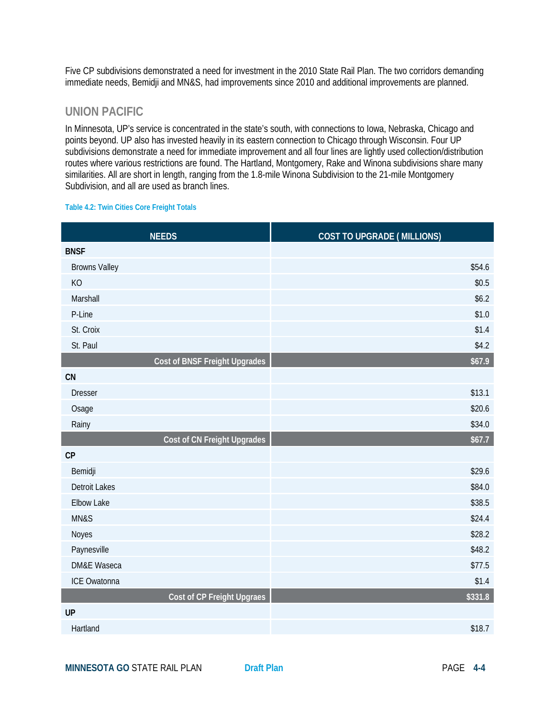Five CP subdivisions demonstrated a need for investment in the 2010 State Rail Plan. The two corridors demanding immediate needs, Bemidji and MN&S, had improvements since 2010 and additional improvements are planned.

### **UNION PACIFIC**

In Minnesota, UP's service is concentrated in the state's south, with connections to Iowa, Nebraska, Chicago and points beyond. UP also has invested heavily in its eastern connection to Chicago through Wisconsin. Four UP subdivisions demonstrate a need for immediate improvement and all four lines are lightly used collection/distribution routes where various restrictions are found. The Hartland, Montgomery, Rake and Winona subdivisions share many similarities. All are short in length, ranging from the 1.8-mile Winona Subdivision to the 21-mile Montgomery Subdivision, and all are used as branch lines.

#### **Table 4.2: Twin Cities Core Freight Totals**

| <b>NEEDS</b>                         | <b>COST TO UPGRADE (MILLIONS)</b> |
|--------------------------------------|-----------------------------------|
| <b>BNSF</b>                          |                                   |
| <b>Browns Valley</b>                 | \$54.6                            |
| KO                                   | \$0.5                             |
| Marshall                             | \$6.2\$                           |
| P-Line                               | \$1.0                             |
| St. Croix                            | \$1.4                             |
| St. Paul                             | \$4.2                             |
| <b>Cost of BNSF Freight Upgrades</b> | \$67.9                            |
| CN                                   |                                   |
| <b>Dresser</b>                       | \$13.1                            |
| Osage                                | \$20.6                            |
| Rainy                                | \$34.0                            |
| Cost of CN Freight Upgrades          | \$67.7                            |
| CP                                   |                                   |
| Bemidji                              | \$29.6                            |
| <b>Detroit Lakes</b>                 | \$84.0                            |
| <b>Elbow Lake</b>                    | \$38.5                            |
| MN&S                                 | \$24.4                            |
| Noyes                                | \$28.2                            |
| Paynesville                          | \$48.2                            |
| <b>DM&amp;E Waseca</b>               | \$77.5                            |
| ICE Owatonna                         | \$1.4                             |
| Cost of CP Freight Upgraes           | \$331.8                           |
| <b>UP</b>                            |                                   |
| Hartland                             | \$18.7                            |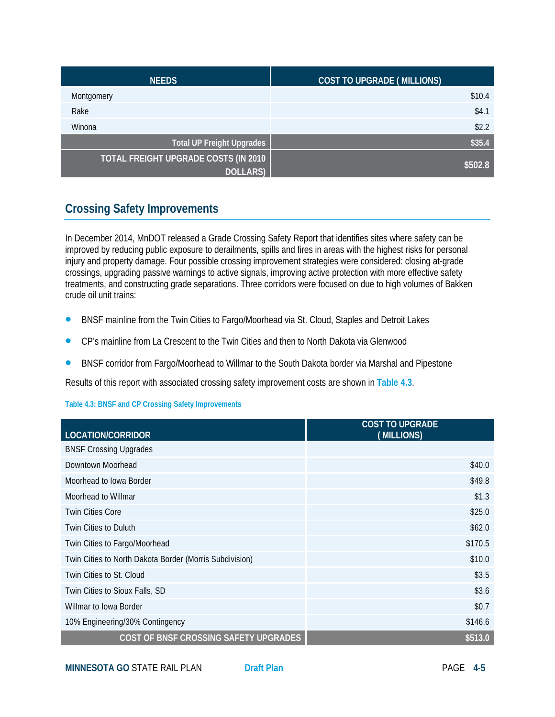| <b>NEEDS</b>                         | <b>COST TO UPGRADE (MILLIONS)</b> |
|--------------------------------------|-----------------------------------|
| Montgomery                           | \$10.4                            |
| Rake                                 | \$4.1                             |
| Winona                               | \$2.2                             |
| <b>Total UP Freight Upgrades</b>     | \$35.4                            |
| TOTAL FREIGHT UPGRADE COSTS (IN 2010 | \$502.8                           |
| <b>DOLLARS</b> )                     |                                   |

# **Crossing Safety Improvements**

In December 2014, MnDOT released a Grade Crossing Safety Report that identifies sites where safety can be improved by reducing public exposure to derailments, spills and fires in areas with the highest risks for personal injury and property damage. Four possible crossing improvement strategies were considered: closing at-grade crossings, upgrading passive warnings to active signals, improving active protection with more effective safety treatments, and constructing grade separations. Three corridors were focused on due to high volumes of Bakken crude oil unit trains:

- BNSF mainline from the Twin Cities to Fargo/Moorhead via St. Cloud, Staples and Detroit Lakes
- CP's mainline from La Crescent to the Twin Cities and then to North Dakota via Glenwood
- BNSF corridor from Fargo/Moorhead to Willmar to the South Dakota border via Marshal and Pipestone

Results of this report with associated crossing safety improvement costs are shown in **Table 4.3**.

#### **Table 4.3: BNSF and CP Crossing Safety Improvements**

| LOCATION/CORRIDOR                                       | <b>COST TO UPGRADE</b><br>(MILLIONS) |
|---------------------------------------------------------|--------------------------------------|
| <b>BNSF Crossing Upgrades</b>                           |                                      |
| Downtown Moorhead                                       | \$40.0                               |
| Moorhead to Iowa Border                                 | \$49.8                               |
| Moorhead to Willmar                                     | \$1.3                                |
| <b>Twin Cities Core</b>                                 | \$25.0                               |
| Twin Cities to Duluth                                   | \$62.0                               |
| Twin Cities to Fargo/Moorhead                           | \$170.5                              |
| Twin Cities to North Dakota Border (Morris Subdivision) | \$10.0                               |
| Twin Cities to St. Cloud                                | \$3.5                                |
| Twin Cities to Sioux Falls, SD                          | \$3.6                                |
| Willmar to Iowa Border                                  | \$0.7                                |
| 10% Engineering/30% Contingency                         | \$146.6                              |
| COST OF BNSF CROSSING SAFETY UPGRADES                   | \$513.0                              |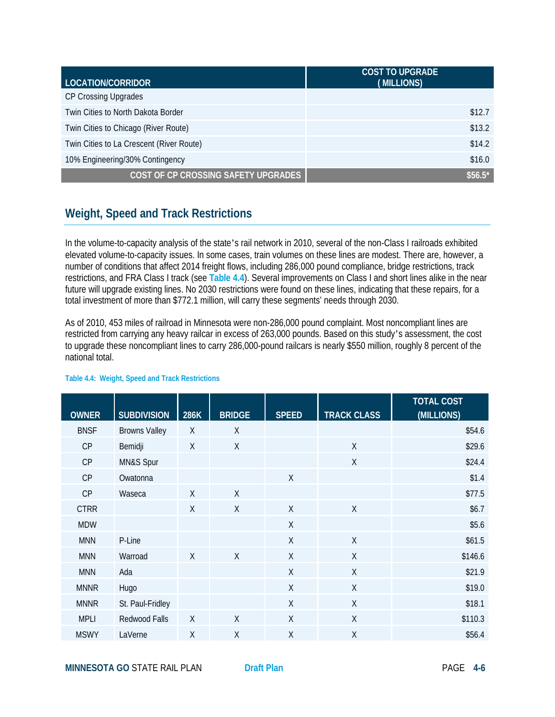| LOCATION/CORRIDOR                        | <b>COST TO UPGRADE</b><br>(MILLIONS) |
|------------------------------------------|--------------------------------------|
| CP Crossing Upgrades                     |                                      |
| Twin Cities to North Dakota Border       | \$12.7                               |
| Twin Cities to Chicago (River Route)     | \$13.2                               |
| Twin Cities to La Crescent (River Route) | \$14.2                               |
| 10% Engineering/30% Contingency          | \$16.0                               |
| COST OF CP CROSSING SAFETY UPGRADES      | $$56.5*$                             |

# **Weight, Speed and Track Restrictions**

In the volume-to-capacity analysis of the state's rail network in 2010, several of the non-Class I railroads exhibited elevated volume-to-capacity issues. In some cases, train volumes on these lines are modest. There are, however, a number of conditions that affect 2014 freight flows, including 286,000 pound compliance, bridge restrictions, track restrictions, and FRA Class I track (see **Table 4.4**). Several improvements on Class I and short lines alike in the near future will upgrade existing lines. No 2030 restrictions were found on these lines, indicating that these repairs, for a total investment of more than \$772.1 million, will carry these segments' needs through 2030.

As of 2010, 453 miles of railroad in Minnesota were non-286,000 pound complaint. Most noncompliant lines are restricted from carrying any heavy railcar in excess of 263,000 pounds. Based on this study's assessment, the cost to upgrade these noncompliant lines to carry 286,000-pound railcars is nearly \$550 million, roughly 8 percent of the national total.

| <b>OWNER</b> | <b>SUBDIVISION</b>   | 286K     | <b>BRIDGE</b> | <b>SPEED</b> | <b>TRACK CLASS</b> | <b>TOTAL COST</b><br>(MILLIONS) |
|--------------|----------------------|----------|---------------|--------------|--------------------|---------------------------------|
| <b>BNSF</b>  | <b>Browns Valley</b> | $\times$ | X             |              |                    | \$54.6                          |
| CP           | Bemidji              | X        | X             |              | X                  | \$29.6                          |
| CP           | MN&S Spur            |          |               |              | $\sf X$            | \$24.4                          |
| CP           | Owatonna             |          |               | X            |                    | \$1.4                           |
| CP           | Waseca               | $\chi$   | $\times$      |              |                    | \$77.5                          |
| <b>CTRR</b>  |                      | $\chi$   | $\sf X$       | $\sf X$      | $\sf X$            | \$6.7                           |
| <b>MDW</b>   |                      |          |               | $\sf X$      |                    | \$5.6                           |
| <b>MNN</b>   | P-Line               |          |               | $\sf X$      | X                  | \$61.5                          |
| <b>MNN</b>   | Warroad              | $\chi$   | $\sf X$       | X            | $\sf X$            | \$146.6                         |
| <b>MNN</b>   | Ada                  |          |               | Χ            | $\sf X$            | \$21.9                          |
| <b>MNNR</b>  | Hugo                 |          |               | X            | $\sf X$            | \$19.0                          |
| <b>MNNR</b>  | St. Paul-Fridley     |          |               | $\sf X$      | $\sf X$            | \$18.1                          |
| <b>MPLI</b>  | Redwood Falls        | $\chi$   | $\times$      | X            | X                  | \$110.3                         |
| <b>MSWY</b>  | LaVerne              | $\sf X$  | $\sf X$       | Χ            | X                  | \$56.4                          |

#### **Table 4.4: Weight, Speed and Track Restrictions**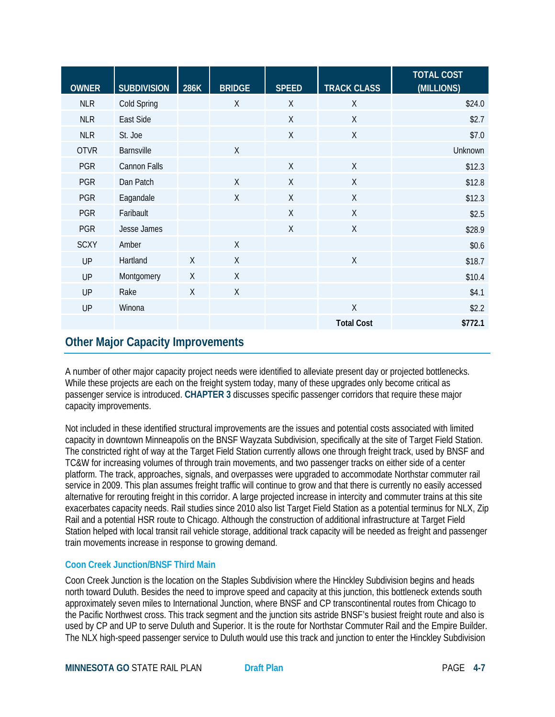| <b>OWNER</b> | <b>SUBDIVISION</b> | 286K         | <b>BRIDGE</b> | <b>SPEED</b> | <b>TRACK CLASS</b> | <b>TOTAL COST</b><br>(MILLIONS) |
|--------------|--------------------|--------------|---------------|--------------|--------------------|---------------------------------|
| <b>NLR</b>   | Cold Spring        |              | $\chi$        | X            | $\sf X$            | \$24.0                          |
| <b>NLR</b>   | East Side          |              |               | X            | X                  | \$2.7                           |
| <b>NLR</b>   | St. Joe            |              |               | X            | $\sf X$            | \$7.0                           |
| <b>OTVR</b>  | <b>Barnsville</b>  |              | $\chi$        |              |                    | Unknown                         |
| <b>PGR</b>   | Cannon Falls       |              |               | $\chi$       | $\chi$             | \$12.3                          |
| <b>PGR</b>   | Dan Patch          |              | $\sf X$       | X            | $\sf X$            | \$12.8                          |
| <b>PGR</b>   | Eagandale          |              | $\chi$        | X            | X                  | \$12.3                          |
| <b>PGR</b>   | Faribault          |              |               | X            | $\chi$             | \$2.5                           |
| <b>PGR</b>   | Jesse James        |              |               | X            | $\sf X$            | \$28.9                          |
| <b>SCXY</b>  | Amber              |              | $\chi$        |              |                    | \$0.6                           |
| UP           | Hartland           | $\mathsf{X}$ | $\chi$        |              | $\sf X$            | \$18.7                          |
| UP           | Montgomery         | X            | $\sf X$       |              |                    | \$10.4                          |
| <b>UP</b>    | Rake               | X            | X             |              |                    | \$4.1                           |
| UP           | Winona             |              |               |              | $\sf X$            | \$2.2                           |
|              |                    |              |               |              | <b>Total Cost</b>  | \$772.1                         |

# **Other Major Capacity Improvements**

A number of other major capacity project needs were identified to alleviate present day or projected bottlenecks. While these projects are each on the freight system today, many of these upgrades only become critical as passenger service is introduced. **CHAPTER 3** discusses specific passenger corridors that require these major capacity improvements.

Not included in these identified structural improvements are the issues and potential costs associated with limited capacity in downtown Minneapolis on the BNSF Wayzata Subdivision, specifically at the site of Target Field Station. The constricted right of way at the Target Field Station currently allows one through freight track, used by BNSF and TC&W for increasing volumes of through train movements, and two passenger tracks on either side of a center platform. The track, approaches, signals, and overpasses were upgraded to accommodate Northstar commuter rail service in 2009. This plan assumes freight traffic will continue to grow and that there is currently no easily accessed alternative for rerouting freight in this corridor. A large projected increase in intercity and commuter trains at this site exacerbates capacity needs. Rail studies since 2010 also list Target Field Station as a potential terminus for NLX, Zip Rail and a potential HSR route to Chicago. Although the construction of additional infrastructure at Target Field Station helped with local transit rail vehicle storage, additional track capacity will be needed as freight and passenger train movements increase in response to growing demand.

### **Coon Creek Junction/BNSF Third Main**

Coon Creek Junction is the location on the Staples Subdivision where the Hinckley Subdivision begins and heads north toward Duluth. Besides the need to improve speed and capacity at this junction, this bottleneck extends south approximately seven miles to International Junction, where BNSF and CP transcontinental routes from Chicago to the Pacific Northwest cross. This track segment and the junction sits astride BNSF's busiest freight route and also is used by CP and UP to serve Duluth and Superior. It is the route for Northstar Commuter Rail and the Empire Builder. The NLX high-speed passenger service to Duluth would use this track and junction to enter the Hinckley Subdivision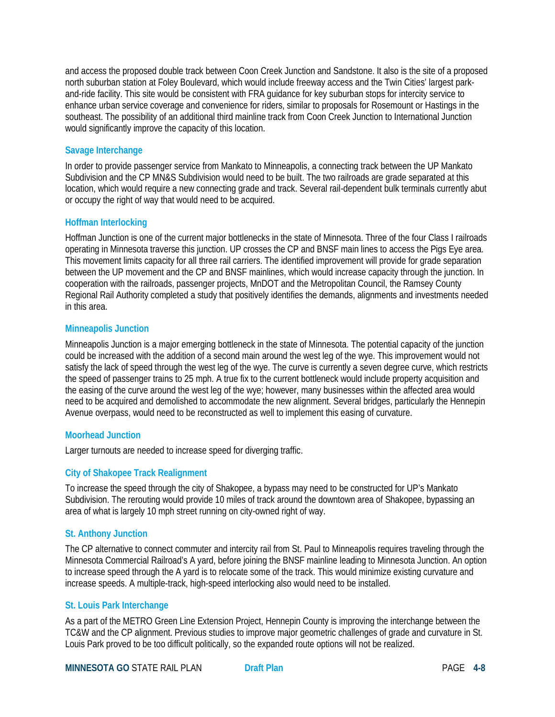and access the proposed double track between Coon Creek Junction and Sandstone. It also is the site of a proposed north suburban station at Foley Boulevard, which would include freeway access and the Twin Cities' largest parkand-ride facility. This site would be consistent with FRA guidance for key suburban stops for intercity service to enhance urban service coverage and convenience for riders, similar to proposals for Rosemount or Hastings in the southeast. The possibility of an additional third mainline track from Coon Creek Junction to International Junction would significantly improve the capacity of this location.

#### **Savage Interchange**

In order to provide passenger service from Mankato to Minneapolis, a connecting track between the UP Mankato Subdivision and the CP MN&S Subdivision would need to be built. The two railroads are grade separated at this location, which would require a new connecting grade and track. Several rail-dependent bulk terminals currently abut or occupy the right of way that would need to be acquired.

#### **Hoffman Interlocking**

Hoffman Junction is one of the current major bottlenecks in the state of Minnesota. Three of the four Class I railroads operating in Minnesota traverse this junction. UP crosses the CP and BNSF main lines to access the Pigs Eye area. This movement limits capacity for all three rail carriers. The identified improvement will provide for grade separation between the UP movement and the CP and BNSF mainlines, which would increase capacity through the junction. In cooperation with the railroads, passenger projects, MnDOT and the Metropolitan Council, the Ramsey County Regional Rail Authority completed a study that positively identifies the demands, alignments and investments needed in this area.

#### **Minneapolis Junction**

Minneapolis Junction is a major emerging bottleneck in the state of Minnesota. The potential capacity of the junction could be increased with the addition of a second main around the west leg of the wye. This improvement would not satisfy the lack of speed through the west leg of the wye. The curve is currently a seven degree curve, which restricts the speed of passenger trains to 25 mph. A true fix to the current bottleneck would include property acquisition and the easing of the curve around the west leg of the wye; however, many businesses within the affected area would need to be acquired and demolished to accommodate the new alignment. Several bridges, particularly the Hennepin Avenue overpass, would need to be reconstructed as well to implement this easing of curvature.

#### **Moorhead Junction**

Larger turnouts are needed to increase speed for diverging traffic.

#### **City of Shakopee Track Realignment**

To increase the speed through the city of Shakopee, a bypass may need to be constructed for UP's Mankato Subdivision. The rerouting would provide 10 miles of track around the downtown area of Shakopee, bypassing an area of what is largely 10 mph street running on city-owned right of way.

#### **St. Anthony Junction**

The CP alternative to connect commuter and intercity rail from St. Paul to Minneapolis requires traveling through the Minnesota Commercial Railroad's A yard, before joining the BNSF mainline leading to Minnesota Junction. An option to increase speed through the A yard is to relocate some of the track. This would minimize existing curvature and increase speeds. A multiple-track, high-speed interlocking also would need to be installed.

#### **St. Louis Park Interchange**

As a part of the METRO Green Line Extension Project, Hennepin County is improving the interchange between the TC&W and the CP alignment. Previous studies to improve major geometric challenges of grade and curvature in St. Louis Park proved to be too difficult politically, so the expanded route options will not be realized.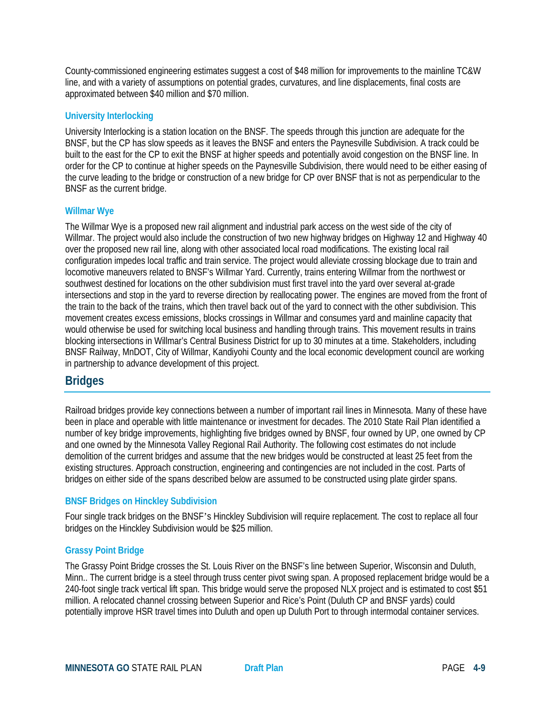County-commissioned engineering estimates suggest a cost of \$48 million for improvements to the mainline TC&W line, and with a variety of assumptions on potential grades, curvatures, and line displacements, final costs are approximated between \$40 million and \$70 million.

#### **University Interlocking**

University Interlocking is a station location on the BNSF. The speeds through this junction are adequate for the BNSF, but the CP has slow speeds as it leaves the BNSF and enters the Paynesville Subdivision. A track could be built to the east for the CP to exit the BNSF at higher speeds and potentially avoid congestion on the BNSF line. In order for the CP to continue at higher speeds on the Paynesville Subdivision, there would need to be either easing of the curve leading to the bridge or construction of a new bridge for CP over BNSF that is not as perpendicular to the BNSF as the current bridge.

#### **Willmar Wye**

The Willmar Wye is a proposed new rail alignment and industrial park access on the west side of the city of Willmar. The project would also include the construction of two new highway bridges on Highway 12 and Highway 40 over the proposed new rail line, along with other associated local road modifications. The existing local rail configuration impedes local traffic and train service. The project would alleviate crossing blockage due to train and locomotive maneuvers related to BNSF's Willmar Yard. Currently, trains entering Willmar from the northwest or southwest destined for locations on the other subdivision must first travel into the yard over several at-grade intersections and stop in the yard to reverse direction by reallocating power. The engines are moved from the front of the train to the back of the trains, which then travel back out of the yard to connect with the other subdivision. This movement creates excess emissions, blocks crossings in Willmar and consumes yard and mainline capacity that would otherwise be used for switching local business and handling through trains. This movement results in trains blocking intersections in Willmar's Central Business District for up to 30 minutes at a time. Stakeholders, including BNSF Railway, MnDOT, City of Willmar, Kandiyohi County and the local economic development council are working in partnership to advance development of this project.

### **Bridges**

Railroad bridges provide key connections between a number of important rail lines in Minnesota. Many of these have been in place and operable with little maintenance or investment for decades. The 2010 State Rail Plan identified a number of key bridge improvements, highlighting five bridges owned by BNSF, four owned by UP, one owned by CP and one owned by the Minnesota Valley Regional Rail Authority. The following cost estimates do not include demolition of the current bridges and assume that the new bridges would be constructed at least 25 feet from the existing structures. Approach construction, engineering and contingencies are not included in the cost. Parts of bridges on either side of the spans described below are assumed to be constructed using plate girder spans.

#### **BNSF Bridges on Hinckley Subdivision**

Four single track bridges on the BNSF's Hinckley Subdivision will require replacement. The cost to replace all four bridges on the Hinckley Subdivision would be \$25 million.

#### **Grassy Point Bridge**

The Grassy Point Bridge crosses the St. Louis River on the BNSF's line between Superior, Wisconsin and Duluth, Minn.. The current bridge is a steel through truss center pivot swing span. A proposed replacement bridge would be a 240-foot single track vertical lift span. This bridge would serve the proposed NLX project and is estimated to cost \$51 million. A relocated channel crossing between Superior and Rice's Point (Duluth CP and BNSF yards) could potentially improve HSR travel times into Duluth and open up Duluth Port to through intermodal container services.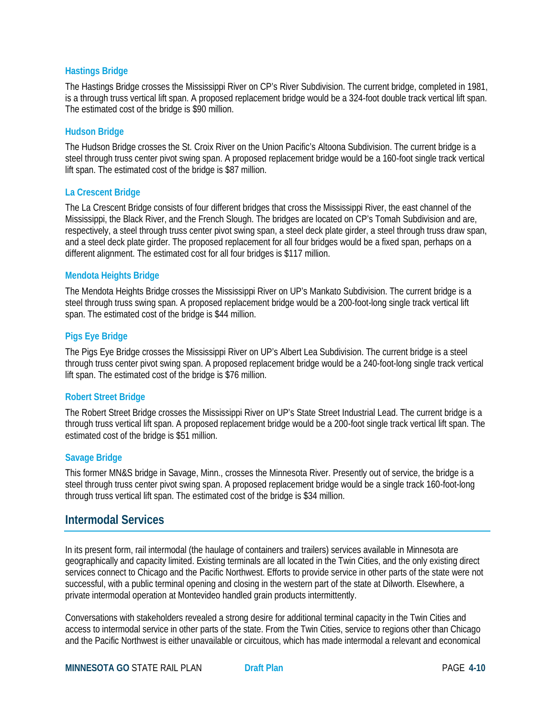#### **Hastings Bridge**

The Hastings Bridge crosses the Mississippi River on CP's River Subdivision. The current bridge, completed in 1981, is a through truss vertical lift span. A proposed replacement bridge would be a 324-foot double track vertical lift span. The estimated cost of the bridge is \$90 million.

#### **Hudson Bridge**

The Hudson Bridge crosses the St. Croix River on the Union Pacific's Altoona Subdivision. The current bridge is a steel through truss center pivot swing span. A proposed replacement bridge would be a 160-foot single track vertical lift span. The estimated cost of the bridge is \$87 million.

#### **La Crescent Bridge**

The La Crescent Bridge consists of four different bridges that cross the Mississippi River, the east channel of the Mississippi, the Black River, and the French Slough. The bridges are located on CP's Tomah Subdivision and are, respectively, a steel through truss center pivot swing span, a steel deck plate girder, a steel through truss draw span, and a steel deck plate girder. The proposed replacement for all four bridges would be a fixed span, perhaps on a different alignment. The estimated cost for all four bridges is \$117 million.

#### **Mendota Heights Bridge**

The Mendota Heights Bridge crosses the Mississippi River on UP's Mankato Subdivision. The current bridge is a steel through truss swing span. A proposed replacement bridge would be a 200-foot-long single track vertical lift span. The estimated cost of the bridge is \$44 million.

#### **Pigs Eye Bridge**

The Pigs Eye Bridge crosses the Mississippi River on UP's Albert Lea Subdivision. The current bridge is a steel through truss center pivot swing span. A proposed replacement bridge would be a 240-foot-long single track vertical lift span. The estimated cost of the bridge is \$76 million.

#### **Robert Street Bridge**

The Robert Street Bridge crosses the Mississippi River on UP's State Street Industrial Lead. The current bridge is a through truss vertical lift span. A proposed replacement bridge would be a 200-foot single track vertical lift span. The estimated cost of the bridge is \$51 million.

#### **Savage Bridge**

This former MN&S bridge in Savage, Minn., crosses the Minnesota River. Presently out of service, the bridge is a steel through truss center pivot swing span. A proposed replacement bridge would be a single track 160-foot-long through truss vertical lift span. The estimated cost of the bridge is \$34 million.

### **Intermodal Services**

In its present form, rail intermodal (the haulage of containers and trailers) services available in Minnesota are geographically and capacity limited. Existing terminals are all located in the Twin Cities, and the only existing direct services connect to Chicago and the Pacific Northwest. Efforts to provide service in other parts of the state were not successful, with a public terminal opening and closing in the western part of the state at Dilworth. Elsewhere, a private intermodal operation at Montevideo handled grain products intermittently.

Conversations with stakeholders revealed a strong desire for additional terminal capacity in the Twin Cities and access to intermodal service in other parts of the state. From the Twin Cities, service to regions other than Chicago and the Pacific Northwest is either unavailable or circuitous, which has made intermodal a relevant and economical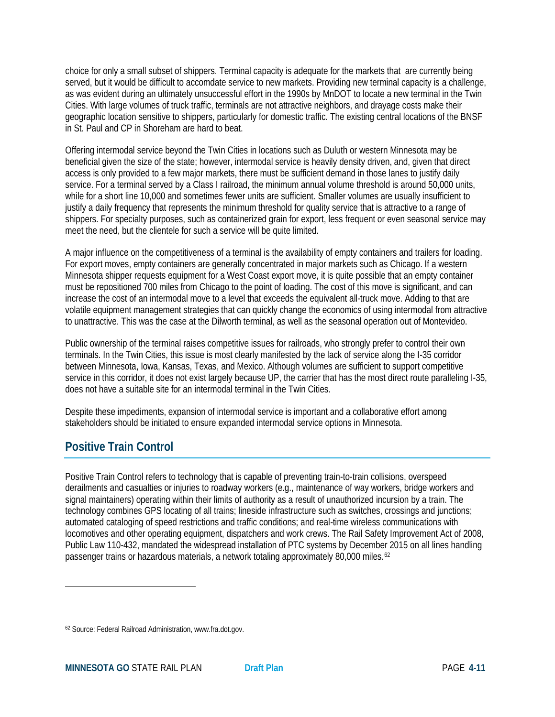choice for only a small subset of shippers. Terminal capacity is adequate for the markets that are currently being served, but it would be difficult to accomdate service to new markets. Providing new terminal capacity is a challenge, as was evident during an ultimately unsuccessful effort in the 1990s by MnDOT to locate a new terminal in the Twin Cities. With large volumes of truck traffic, terminals are not attractive neighbors, and drayage costs make their geographic location sensitive to shippers, particularly for domestic traffic. The existing central locations of the BNSF in St. Paul and CP in Shoreham are hard to beat.

Offering intermodal service beyond the Twin Cities in locations such as Duluth or western Minnesota may be beneficial given the size of the state; however, intermodal service is heavily density driven, and, given that direct access is only provided to a few major markets, there must be sufficient demand in those lanes to justify daily service. For a terminal served by a Class I railroad, the minimum annual volume threshold is around 50,000 units, while for a short line 10,000 and sometimes fewer units are sufficient. Smaller volumes are usually insufficient to justify a daily frequency that represents the minimum threshold for quality service that is attractive to a range of shippers. For specialty purposes, such as containerized grain for export, less frequent or even seasonal service may meet the need, but the clientele for such a service will be quite limited.

A major influence on the competitiveness of a terminal is the availability of empty containers and trailers for loading. For export moves, empty containers are generally concentrated in major markets such as Chicago. If a western Minnesota shipper requests equipment for a West Coast export move, it is quite possible that an empty container must be repositioned 700 miles from Chicago to the point of loading. The cost of this move is significant, and can increase the cost of an intermodal move to a level that exceeds the equivalent all-truck move. Adding to that are volatile equipment management strategies that can quickly change the economics of using intermodal from attractive to unattractive. This was the case at the Dilworth terminal, as well as the seasonal operation out of Montevideo.

Public ownership of the terminal raises competitive issues for railroads, who strongly prefer to control their own terminals. In the Twin Cities, this issue is most clearly manifested by the lack of service along the I-35 corridor between Minnesota, Iowa, Kansas, Texas, and Mexico. Although volumes are sufficient to support competitive service in this corridor, it does not exist largely because UP, the carrier that has the most direct route paralleling I-35, does not have a suitable site for an intermodal terminal in the Twin Cities.

Despite these impediments, expansion of intermodal service is important and a collaborative effort among stakeholders should be initiated to ensure expanded intermodal service options in Minnesota.

# **Positive Train Control**

 $\overline{\phantom{a}}$ 

Positive Train Control refers to technology that is capable of preventing train-to-train collisions, overspeed derailments and casualties or injuries to roadway workers (e.g., maintenance of way workers, bridge workers and signal maintainers) operating within their limits of authority as a result of unauthorized incursion by a train. The technology combines GPS locating of all trains; lineside infrastructure such as switches, crossings and junctions; automated cataloging of speed restrictions and traffic conditions; and real-time wireless communications with locomotives and other operating equipment, dispatchers and work crews. The Rail Safety Improvement Act of 2008, Public Law 110-432, mandated the widespread installation of PTC systems by December 2015 on all lines handling passenger trains or hazardous materials, a network totaling approximately 80,000 miles.<sup>[62](#page-10-0)</sup>

<span id="page-10-0"></span><sup>62</sup> Source: Federal Railroad Administration, www.fra.dot.gov.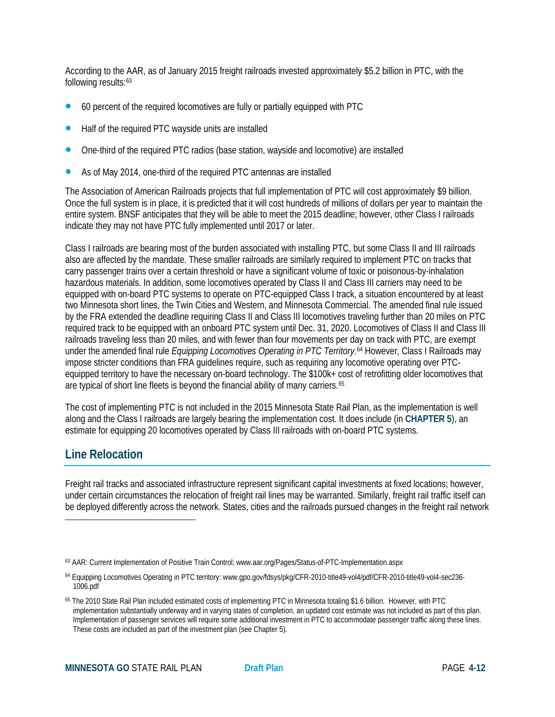According to the AAR, as of January 2015 freight railroads invested approximately \$5.2 billion in PTC, with the following results:<sup>[63](#page-11-0)</sup>

- 60 percent of the required locomotives are fully or partially equipped with PTC
- Half of the required PTC wayside units are installed
- One-third of the required PTC radios (base station, wayside and locomotive) are installed
- As of May 2014, one-third of the required PTC antennas are installed

The Association of American Railroads projects that full implementation of PTC will cost approximately \$9 billion. Once the full system is in place, it is predicted that it will cost hundreds of millions of dollars per year to maintain the entire system. BNSF anticipates that they will be able to meet the 2015 deadline; however, other Class I railroads indicate they may not have PTC fully implemented until 2017 or later.

Class I railroads are bearing most of the burden associated with installing PTC, but some Class II and III railroads also are affected by the mandate. These smaller railroads are similarly required to implement PTC on tracks that carry passenger trains over a certain threshold or have a significant volume of toxic or poisonous-by-inhalation hazardous materials. In addition, some locomotives operated by Class II and Class III carriers may need to be equipped with on-board PTC systems to operate on PTC-equipped Class I track, a situation encountered by at least two Minnesota short lines, the Twin Cities and Western, and Minnesota Commercial. The amended final rule issued by the FRA extended the deadline requiring Class II and Class III locomotives traveling further than 20 miles on PTC required track to be equipped with an onboard PTC system until Dec. 31, 2020. Locomotives of Class II and Class III railroads traveling less than 20 miles, and with fewer than four movements per day on track with PTC, are exempt under the amended final rule *Equipping Locomotives Operating in PTC Territory*.[64](#page-11-1) However, Class I Railroads may impose stricter conditions than FRA guidelines require, such as requiring any locomotive operating over PTCequipped territory to have the necessary on-board technology. The \$100k+ cost of retrofitting older locomotives that are typical of short line fleets is beyond the financial ability of many carriers.<sup>[65](#page-11-2)</sup>

The cost of implementing PTC is not included in the 2015 Minnesota State Rail Plan, as the implementation is well along and the Class I railroads are largely bearing the implementation cost. It does include (in **CHAPTER 5**), an estimate for equipping 20 locomotives operated by Class III railroads with on-board PTC systems.

### **Line Relocation**

 $\overline{\phantom{a}}$ 

Freight rail tracks and associated infrastructure represent significant capital investments at fixed locations; however, under certain circumstances the relocation of freight rail lines may be warranted. Similarly, freight rail traffic itself can be deployed differently across the network. States, cities and the railroads pursued changes in the freight rail network

<span id="page-11-0"></span><sup>63</sup> AAR: Current Implementation of Positive Train Control; www.aar.org/Pages/Status-of-PTC-Implementation.aspx

<span id="page-11-1"></span><sup>64</sup> Equipping Locomotives Operating in PTC territory: [www.gpo.gov/fdsys/pkg/CFR-2010-title49-vol4/pdf/CFR-2010-title49-vol4-sec236-](http://www.gpo.gov/fdsys/pkg/CFR-2010-title49-vol4/pdf/CFR-2010-title49-vol4-sec236-1006.pdf) [1006.pdf](http://www.gpo.gov/fdsys/pkg/CFR-2010-title49-vol4/pdf/CFR-2010-title49-vol4-sec236-1006.pdf)

<span id="page-11-2"></span><sup>65</sup> The 2010 State Rail Plan included estimated costs of implementing PTC in Minnesota totaling \$1.6 billion. However, with PTC implementation substantially underway and in varying states of completion, an updated cost estimate was not included as part of this plan. Implementation of passenger services will require some additional investment in PTC to accommodate passenger traffic along these lines. These costs are included as part of the investment plan (see Chapter 5).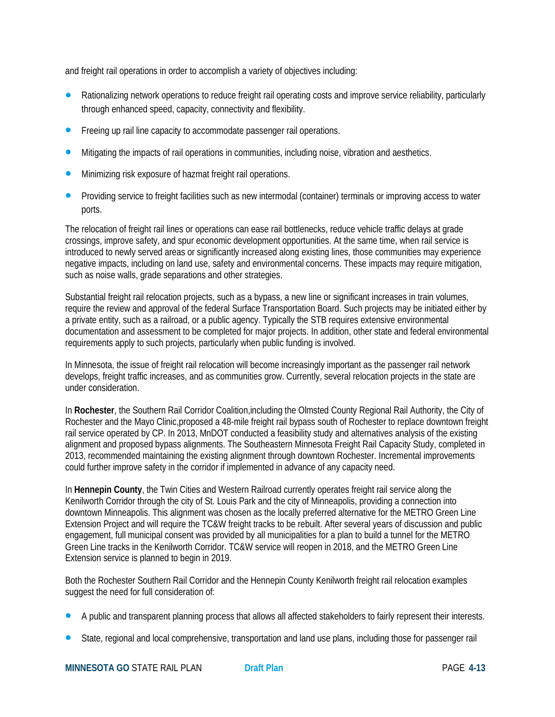and freight rail operations in order to accomplish a variety of objectives including:

- Rationalizing network operations to reduce freight rail operating costs and improve service reliability, particularly through enhanced speed, capacity, connectivity and flexibility.
- Freeing up rail line capacity to accommodate passenger rail operations.
- Mitigating the impacts of rail operations in communities, including noise, vibration and aesthetics.
- Minimizing risk exposure of hazmat freight rail operations.
- Providing service to freight facilities such as new intermodal (container) terminals or improving access to water ports.

The relocation of freight rail lines or operations can ease rail bottlenecks, reduce vehicle traffic delays at grade crossings, improve safety, and spur economic development opportunities. At the same time, when rail service is introduced to newly served areas or significantly increased along existing lines, those communities may experience negative impacts, including on land use, safety and environmental concerns. These impacts may require mitigation, such as noise walls, grade separations and other strategies.

Substantial freight rail relocation projects, such as a bypass, a new line or significant increases in train volumes, require the review and approval of the federal Surface Transportation Board. Such projects may be initiated either by a private entity, such as a railroad, or a public agency. Typically the STB requires extensive environmental documentation and assessment to be completed for major projects. In addition, other state and federal environmental requirements apply to such projects, particularly when public funding is involved.

In Minnesota, the issue of freight rail relocation will become increasingly important as the passenger rail network develops, freight traffic increases, and as communities grow. Currently, several relocation projects in the state are under consideration.

In **Rochester**, the Southern Rail Corridor Coalition,including the Olmsted County Regional Rail Authority, the City of Rochester and the Mayo Clinic,proposed a 48-mile freight rail bypass south of Rochester to replace downtown freight rail service operated by CP. In 2013, MnDOT conducted a feasibility study and alternatives analysis of the existing alignment and proposed bypass alignments. The Southeastern Minnesota Freight Rail Capacity Study, completed in 2013, recommended maintaining the existing alignment through downtown Rochester. Incremental improvements could further improve safety in the corridor if implemented in advance of any capacity need.

In **Hennepin County**, the Twin Cities and Western Railroad currently operates freight rail service along the Kenilworth Corridor through the city of St. Louis Park and the city of Minneapolis, providing a connection into downtown Minneapolis. This alignment was chosen as the locally preferred alternative for the METRO Green Line Extension Project and will require the TC&W freight tracks to be rebuilt. After several years of discussion and public engagement, full municipal consent was provided by all municipalities for a plan to build a tunnel for the METRO Green Line tracks in the Kenilworth Corridor. TC&W service will reopen in 2018, and the METRO Green Line Extension service is planned to begin in 2019.

Both the Rochester Southern Rail Corridor and the Hennepin County Kenilworth freight rail relocation examples suggest the need for full consideration of:

- A public and transparent planning process that allows all affected stakeholders to fairly represent their interests.
- State, regional and local comprehensive, transportation and land use plans, including those for passenger rail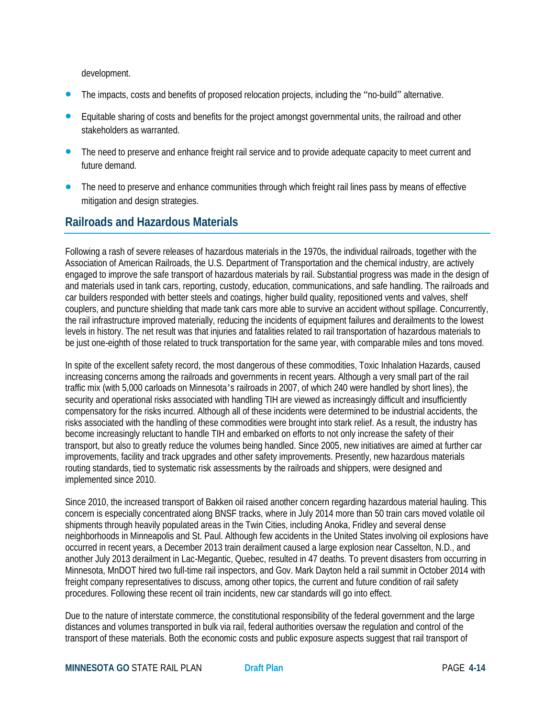development.

- The impacts, costs and benefits of proposed relocation projects, including the "no-build" alternative.
- Equitable sharing of costs and benefits for the project amongst governmental units, the railroad and other stakeholders as warranted.
- The need to preserve and enhance freight rail service and to provide adequate capacity to meet current and future demand.
- The need to preserve and enhance communities through which freight rail lines pass by means of effective mitigation and design strategies.

# **Railroads and Hazardous Materials**

Following a rash of severe releases of hazardous materials in the 1970s, the individual railroads, together with the Association of American Railroads, the U.S. Department of Transportation and the chemical industry, are actively engaged to improve the safe transport of hazardous materials by rail. Substantial progress was made in the design of and materials used in tank cars, reporting, custody, education, communications, and safe handling. The railroads and car builders responded with better steels and coatings, higher build quality, repositioned vents and valves, shelf couplers, and puncture shielding that made tank cars more able to survive an accident without spillage. Concurrently, the rail infrastructure improved materially, reducing the incidents of equipment failures and derailments to the lowest levels in history. The net result was that injuries and fatalities related to rail transportation of hazardous materials to be just one-eighth of those related to truck transportation for the same year, with comparable miles and tons moved.

In spite of the excellent safety record, the most dangerous of these commodities, Toxic Inhalation Hazards, caused increasing concerns among the railroads and governments in recent years. Although a very small part of the rail traffic mix (with 5,000 carloads on Minnesota's railroads in 2007, of which 240 were handled by short lines), the security and operational risks associated with handling TIH are viewed as increasingly difficult and insufficiently compensatory for the risks incurred. Although all of these incidents were determined to be industrial accidents, the risks associated with the handling of these commodities were brought into stark relief. As a result, the industry has become increasingly reluctant to handle TIH and embarked on efforts to not only increase the safety of their transport, but also to greatly reduce the volumes being handled. Since 2005, new initiatives are aimed at further car improvements, facility and track upgrades and other safety improvements. Presently, new hazardous materials routing standards, tied to systematic risk assessments by the railroads and shippers, were designed and implemented since 2010.

Since 2010, the increased transport of Bakken oil raised another concern regarding hazardous material hauling. This concern is especially concentrated along BNSF tracks, where in July 2014 more than 50 train cars moved volatile oil shipments through heavily populated areas in the Twin Cities, including Anoka, Fridley and several dense neighborhoods in Minneapolis and St. Paul. Although few accidents in the United States involving oil explosions have occurred in recent years, a December 2013 train derailment caused a large explosion near Casselton, N.D., and another July 2013 derailment in Lac-Megantic, Quebec, resulted in 47 deaths. To prevent disasters from occurring in Minnesota, MnDOT hired two full-time rail inspectors, and Gov. Mark Dayton held a rail summit in October 2014 with freight company representatives to discuss, among other topics, the current and future condition of rail safety procedures. Following these recent oil train incidents, new car standards will go into effect.

Due to the nature of interstate commerce, the constitutional responsibility of the federal government and the large distances and volumes transported in bulk via rail, federal authorities oversaw the regulation and control of the transport of these materials. Both the economic costs and public exposure aspects suggest that rail transport of